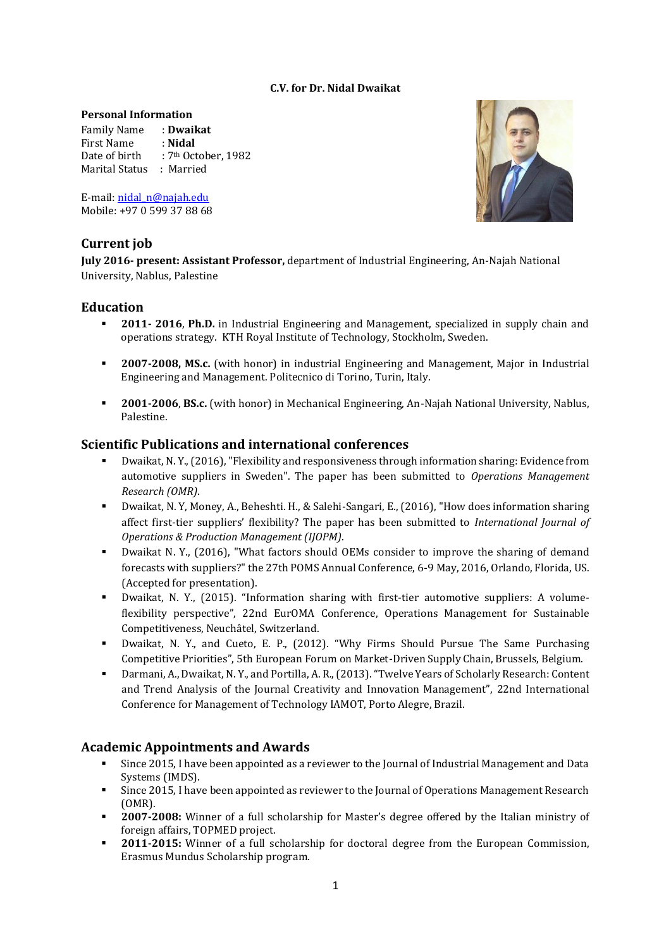#### **C.V. for Dr. Nidal Dwaikat**

#### **Personal Information**

Family Name : **Dwaikat** First Name : **Nidal** Date of birth : 7<sup>th</sup> October, 1982 Marital Status : Married

E-mail[: nidal\\_n@najah.edu](mailto:nidal_n@najah.edu) Mobile: +97 0 599 37 88 68

# **Current job**

**July 2016- present: Assistant Professor,** department of Industrial Engineering, An-Najah National University, Nablus, Palestine

## **Education**

- **2011- 2016**, **Ph.D.** in Industrial Engineering and Management, specialized in supply chain and operations strategy. KTH Royal Institute of Technology, Stockholm, Sweden.
- **2007-2008, MS.c.** (with honor) in industrial Engineering and Management, Major in Industrial Engineering and Management. Politecnico di Torino, Turin, Italy.
- **2001-2006**, **BS.c.** (with honor) in Mechanical Engineering, An-Najah National University, Nablus, Palestine.

## **Scientific Publications and international conferences**

- Dwaikat, N. Y., (2016), "Flexibility and responsiveness through information sharing: Evidence from automotive suppliers in Sweden". The paper has been submitted to *Operations Management Research (OMR)*.
- Dwaikat, N. Y, Money, A., Beheshti. H., & Salehi-Sangari, E., (2016), "How does information sharing affect first-tier suppliers' flexibility? The paper has been submitted to *International Journal of Operations & Production Management (IJOPM)*.
- Dwaikat N. Y., (2016), "What factors should OEMs consider to improve the sharing of demand forecasts with suppliers?" the 27th POMS Annual Conference, 6-9 May, 2016, Orlando, Florida, US. (Accepted for presentation).
- Dwaikat, N. Y., (2015). "Information sharing with first-tier automotive suppliers: A volumeflexibility perspective", [22nd EurOMA Conference,](http://www.euroma2015.org/index.html) Operations Management for Sustainable Competitiveness, Neuchâtel, Switzerland.
- Dwaikat, N. Y., and Cueto, E. P., (2012). "Why Firms Should Pursue The Same Purchasing Competitive Priorities", 5th European Forum on Market-Driven Supply Chain, Brussels, Belgium.
- Darmani, A., Dwaikat, N. Y., an[d Portilla,](https://www.google.com/url?sa=t&rct=j&q=&esrc=s&source=web&cd=1&cad=rja&ved=0CCsQFjAA&url=http%3A%2F%2Fwww.kth.se%2Fen%2Fitm%2Finst%2Findek%2Favdelningar%2Fentreprenorskap-och-innovation%2Fpersonal%2Fandres-ramirez-portilla-1.306373&ei=jeMxUsGcEa-X0AWp6YDwCw&usg=AFQjCNEfTX0M-wqHPUt56NHWchVS0NHJAw&sig2=lwwEOEHmPYddGY55C9JXEw&bvm=bv.52109249,d.d2k) A. R., (2013). "Twelve Years of Scholarly Research: Content and Trend Analysis of the Journal Creativity and Innovation Management", 22nd International Conference for Management of Technology IAMOT, Porto Alegre, Brazil.

## **Academic Appointments and Awards**

- Since 2015, I have been appointed as a reviewer to the Journal of Industrial Management and Data Systems (IMDS).
- Since 2015, I have been appointed as reviewer to the Journal of Operations Management Research (OMR).
- **2007-2008:** Winner of a full scholarship for Master's degree offered by the Italian ministry of foreign affairs, TOPMED project.
- **2011-2015:** Winner of a full scholarship for doctoral degree from the European Commission, Erasmus Mundus Scholarship program.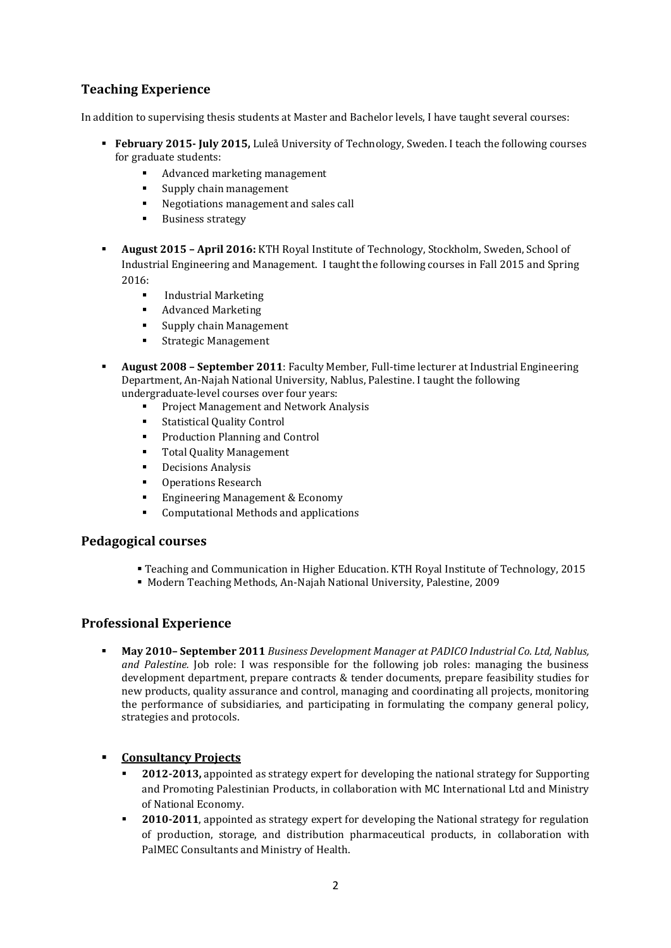# **Teaching Experience**

In addition to supervising thesis students at Master and Bachelor levels, I have taught several courses:

- **February 2015- July 2015,** Luleå University of Technology, Sweden. I teach the following courses for graduate students:
	- Advanced marketing management
	- Supply chain management
	- Negotiations management and sales call
	- **Business strategy**
- **August 2015 – April 2016:** KTH Royal Institute of Technology, Stockholm, Sweden, School of Industrial Engineering and Management. I taught the following courses in Fall 2015 and Spring 2016:
	- Industrial Marketing
	- Advanced Marketing
	- **Supply chain Management**
	- **Strategic Management**
- **August 2008 – September 2011**: Faculty Member, Full-time lecturer at Industrial Engineering Department, An-Najah National University, Nablus, Palestine. I taught the following undergraduate-level courses over four years:
	- [Project Management and Network Analysis](http://staff.najah.edu/nidaln/course/project-management-and-network-analysis)
	- [Statistical Quality Control](http://staff.najah.edu/nidaln/course/statistical-quality-control)
	- [Production Planning and Control](http://staff.najah.edu/nidaln/course/production-planning-and-control)
	- **[Total Quality Management](http://staff.najah.edu/nidaln/course/total-quality-management)**
	- **•** [Decisions Analysis](http://staff.najah.edu/nidaln/course/decisions-analysis)
	- **•** [Operations Research](http://staff.najah.edu/nidaln/course/operations-research)
	- **[Engineering Management & Economy](http://staff.najah.edu/nidaln/course/engineering-management-economy)**
	- [Computational Methods and applications](http://staff.najah.edu/nidaln/course/computational-methods-and-applications)

## **Pedagogical courses**

- Teaching and Communication in Higher Education. KTH Royal Institute of Technology, 2015
- Modern Teaching Methods, An-Najah National University, Palestine, 2009

## **Professional Experience**

 **May 2010– September 2011** *Business Development Manager at PADICO Industrial Co. Ltd, Nablus, and Palestine.* Job role: I was responsible for the following job roles: managing the business development department, prepare contracts & tender documents, prepare feasibility studies for new products, quality assurance and control, managing and coordinating all projects, monitoring the performance of subsidiaries, and participating in formulating the company general policy, strategies and protocols.

## **Consultancy Projects**

- **2012-2013,** appointed as strategy expert for developing the national strategy for Supporting and Promoting Palestinian Products, in collaboration with MC International Ltd and Ministry of National Economy.
- **2010-2011**, appointed as strategy expert for developing the National strategy for regulation of production, storage, and distribution pharmaceutical products, in collaboration with PalMEC Consultants and Ministry of Health.